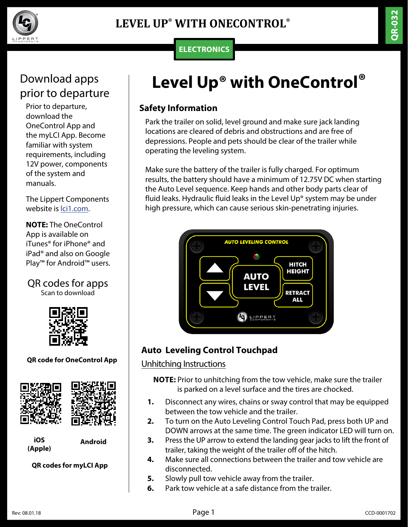

## **ELECTRONICS**

# Download apps prior to departure

Prior to departure, download the OneControl App and the myLCI App. Become familiar with system requirements, including 12V power, components of the system and manuals.

The Lippert Components website is [lci1.com](https://www.lci1.com/).

**NOTE:** The OneControl App is available on iTunes® for iPhone® and iPad® and also on Google Play™ for Android™ users.

# QR codes for apps

Scan to download



**QR code for OneControl App**



**iOS (Apple)**

**Android**

**QR codes for myLCI App**

# **Level Up® with OneControl®**

## **Safety Information**

Park the trailer on solid, level ground and make sure jack landing locations are cleared of debris and obstructions and are free of depressions. People and pets should be clear of the trailer while operating the leveling system.

Make sure the battery of the trailer is fully charged. For optimum results, the battery should have a minimum of 12.75V DC when starting the Auto Level sequence. Keep hands and other body parts clear of fluid leaks. Hydraulic fluid leaks in the Level Up® system may be under high pressure, which can cause serious skin-penetrating injuries.



# **Auto Leveling Control Touchpad**

#### Unhitching Instructions

**NOTE:** Prior to unhitching from the tow vehicle, make sure the trailer is parked on a level surface and the tires are chocked.

- **1.** Disconnect any wires, chains or sway control that may be equipped between the tow vehicle and the trailer.
- **2.** To turn on the Auto Leveling Control Touch Pad, press both UP and DOWN arrows at the same time. The green indicator LED will turn on.
- **3.** Press the UP arrow to extend the landing gear jacks to lift the front of trailer, taking the weight of the trailer off of the hitch.
- **4.** Make sure all connections between the trailer and tow vehicle are disconnected.
- **5.** Slowly pull tow vehicle away from the trailer.
- **6.** Park tow vehicle at a safe distance from the trailer.